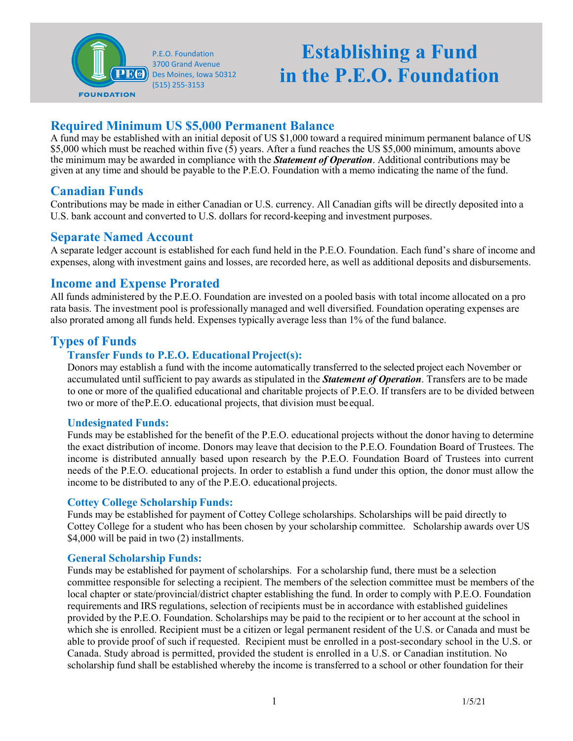

# **Establishing a Fund in the P.E.O. Foundation**

# **Required Minimum US \$5,000 Permanent Balance**

A fund may be established with an initial deposit of US \$1,000 toward a required minimum permanent balance of US \$5,000 which must be reached within five  $(\hat{5})$  years. After a fund reaches the US \$5,000 minimum, amounts above the minimum may be awarded in compliance with the *Statement of Operation*. Additional contributions may be given at any time and should be payable to the P.E.O. Foundation with a memo indicating the name of the fund.

## **Canadian Funds**

Contributions may be made in either Canadian or U.S. currency. All Canadian gifts will be directly deposited into a U.S. bank account and converted to U.S. dollars for record-keeping and investment purposes.

## **Separate Named Account**

A separate ledger account is established for each fund held in the P.E.O. Foundation. Each fund's share of income and expenses, along with investment gains and losses, are recorded here, as well as additional deposits and disbursements.

## **Income and Expense Prorated**

All funds administered by the P.E.O. Foundation are invested on a pooled basis with total income allocated on a pro rata basis. The investment pool is professionally managed and well diversified. Foundation operating expenses are also prorated among all funds held. Expenses typically average less than 1% of the fund balance.

## **Types of Funds**

#### **Transfer Funds to P.E.O. Educational Project(s):**

Donors may establish a fund with the income automatically transferred to the selected project each November or accumulated until sufficient to pay awards as stipulated in the *Statement of Operation*. Transfers are to be made to one or more of the qualified educational and charitable projects of P.E.O. If transfers are to be divided between two or more of theP.E.O. educational projects, that division must beequal.

#### **Undesignated Funds:**

Funds may be established for the benefit of the P.E.O. educational projects without the donor having to determine the exact distribution of income. Donors may leave that decision to the P.E.O. Foundation Board of Trustees. The income is distributed annually based upon research by the P.E.O. Foundation Board of Trustees into current needs of the P.E.O. educational projects. In order to establish a fund under this option, the donor must allow the income to be distributed to any of the P.E.O. educational projects.

#### **Cottey College Scholarship Funds:**

Funds may be established for payment of Cottey College scholarships. Scholarships will be paid directly to Cottey College for a student who has been chosen by your scholarship committee. Scholarship awards over US \$4,000 will be paid in two (2) installments.

#### **General Scholarship Funds:**

Funds may be established for payment of scholarships. For a scholarship fund, there must be a selection committee responsible for selecting a recipient. The members of the selection committee must be members of the local chapter or state/provincial/district chapter establishing the fund. In order to comply with P.E.O. Foundation requirements and IRS regulations, selection of recipients must be in accordance with established guidelines provided by the P.E.O. Foundation. Scholarships may be paid to the recipient or to her account at the school in which she is enrolled. Recipient must be a citizen or legal permanent resident of the U.S. or Canada and must be able to provide proof of such if requested. Recipient must be enrolled in a post-secondary school in the U.S. or Canada. Study abroad is permitted, provided the student is enrolled in a U.S. or Canadian institution. No scholarship fund shall be established whereby the income is transferred to a school or other foundation for their